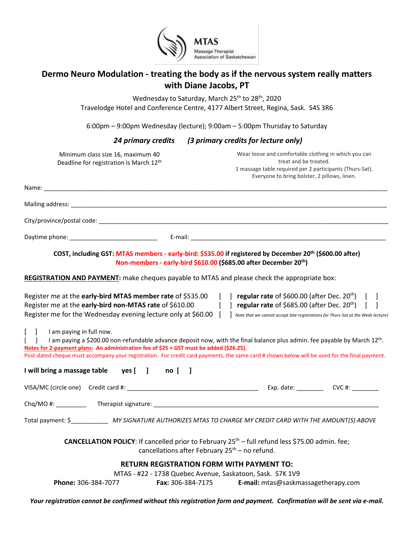

# **Dermo Neuro Modulation - treating the body as if the nervous system really matters with Diane Jacobs, PT**

Wednesday to Saturday, March 25<sup>th</sup> to 28<sup>th</sup>, 2020 Travelodge Hotel and Conference Centre, 4177 Albert Street, Regina, Sask. S4S 3R6

6:00pm – 9:00pm Wednesday (lecture); 9:00am – 5:00pm Thursday to Saturday

# *24 primary credits (3 primary credits for lecture only)*

| Minimum class size 16, maximum 40<br>Deadline for registration is March 12th                                                                                               | Wear loose and comfortable clothing in which you can<br>treat and be treated.<br>1 massage table required per 2 participants (Thurs-Sat).<br>Everyone to bring bolster, 2 pillows, linen.                                                                                                       |
|----------------------------------------------------------------------------------------------------------------------------------------------------------------------------|-------------------------------------------------------------------------------------------------------------------------------------------------------------------------------------------------------------------------------------------------------------------------------------------------|
|                                                                                                                                                                            |                                                                                                                                                                                                                                                                                                 |
|                                                                                                                                                                            |                                                                                                                                                                                                                                                                                                 |
|                                                                                                                                                                            |                                                                                                                                                                                                                                                                                                 |
|                                                                                                                                                                            |                                                                                                                                                                                                                                                                                                 |
|                                                                                                                                                                            | COST, including GST: MTAS members - early-bird: \$535.00 if registered by December 20th (\$600.00 after)<br>Non-members - early-bird \$610.00 (\$685.00 after December 20 <sup>th</sup> )<br>REGISTRATION AND PAYMENT: make cheques payable to MTAS and please check the appropriate box:       |
|                                                                                                                                                                            | Register me at the early-bird MTAS member rate of \$535.00 $\left[ \begin{array}{cc} \end{array} \right]$ regular rate of \$600.00 (after Dec. 20 <sup>th</sup> ) $\left[ \begin{array}{cc} \end{array} \right]$                                                                                |
| Register me for the Wednesday evening lecture only at \$60.00 [                                                                                                            | Register me at the early-bird non-MTAS rate of \$610.00 $\left[ \begin{array}{c} \end{array} \right]$ regular rate of \$685.00 (after Dec. 20 <sup>th</sup> ) $\left[ \begin{array}{c} \end{array} \right]$<br>Note that we cannot accept late registrations for Thurs-Sat at the Weds lecture) |
| $\begin{bmatrix} 1 \end{bmatrix}$<br>I am paying in full now.<br>$\blacksquare$<br>Notes for 2-payment plans: An administration fee of \$25 + GST must be added (\$26.25). | I am paying a \$200.00 non-refundable advance deposit now, with the final balance plus admin. fee payable by March 12 <sup>th</sup> .<br>Post-dated cheque must accompany your registration. For credit card payments, the same card # shown below will be used for the final payment.          |
| I will bring a massage table yes [ ] no [ ]                                                                                                                                |                                                                                                                                                                                                                                                                                                 |
|                                                                                                                                                                            |                                                                                                                                                                                                                                                                                                 |
|                                                                                                                                                                            |                                                                                                                                                                                                                                                                                                 |
|                                                                                                                                                                            | Total payment: \$______________ MY SIGNATURE AUTHORIZES MTAS TO CHARGE MY CREDIT CARD WITH THE AMOUNT(S) ABOVE                                                                                                                                                                                  |
|                                                                                                                                                                            | <b>CANCELLATION POLICY:</b> If cancelled prior to February 25 <sup>th</sup> – full refund less \$75.00 admin. fee;<br>cancellations after February 25 <sup>th</sup> – no refund.                                                                                                                |
| <b>Phone: 306-384-7077</b>                                                                                                                                                 | <b>RETURN REGISTRATION FORM WITH PAYMENT TO:</b><br>MTAS - #22 - 1738 Quebec Avenue, Saskatoon, Sask. S7K 1V9<br>Fax: 306-384-7175<br>E-mail: mtas@saskmassagetherapy.com                                                                                                                       |

*Your registration cannot be confirmed without this registration form and payment. Confirmation will be sent via e-mail.*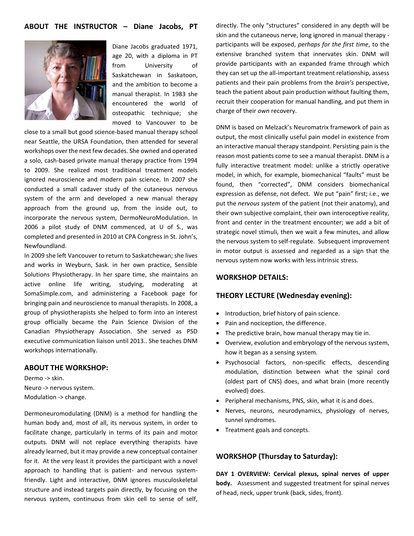# **ABOUT THE INSTRUCTOR – Diane Jacobs, PT**



Diane Jacobs graduated 1971, age 20, with a diploma in PT from University of Saskatchewan in Saskatoon, and the ambition to become a manual therapist. In 1983 she encountered the world of osteopathic technique; she moved to Vancouver to be

close to a small but good science-based manual therapy school near Seattle, the URSA Foundation, then attended for several workshops over the next few decades. She owned and operated a solo, cash-based private manual therapy practice from 1994 to 2009. She realized most traditional treatment models ignored neuroscience and modern pain science. In 2007 she conducted a small cadaver study of the cutaneous nervous system of the arm and developed a new manual therapy approach from the ground up, from the inside out, to incorporate the nervous system, DermoNeuroModulation. In 2006 a pilot study of DNM commenced, at U of S., was completed and presented in 2010 at CPA Congress in St. John's, Newfoundland.

In 2009 she left Vancouver to return to Saskatchewan; she lives and works in Weyburn, Sask. in her own practice, Sensible Solutions Physiotherapy. In her spare time, she maintains an active online life writing, studying, moderating at SomaSimple.com, and administering a Facebook page for bringing pain and neuroscience to manual therapists. In 2008, a group of physiotherapists she helped to form into an interest group officially became the Pain Science Division of the Canadian Physiotherapy Association. She served as PSD executive communication liaison until 2013.. She teaches DNM workshops internationally.

#### **ABOUT THE WORKSHOP:**

Dermo -> skin. Neuro -> nervous system. Modulation -> change.

Dermoneuromodulating (DNM) is a method for handling the human body and, most of all, its nervous system, in order to facilitate change, particularly in terms of its pain and motor outputs. DNM will not replace everything therapists have already learned, but it may provide a new conceptual container for it. At the very least it provides the participant with a novel approach to handling that is patient- and nervous systemfriendly. Light and interactive, DNM ignores musculoskeletal structure and instead targets pain directly, by focusing on the nervous system, continuous from skin cell to sense of self,

directly. The only "structures" considered in any depth will be skin and the cutaneous nerve, long ignored in manual therapy participants will be exposed, *perhaps for the first time*, to the extensive branched system that innervates skin. DNM will provide participants with an expanded frame through which they can set up the all-important treatment relationship, assess patients and their pain problems from the *brain's* perspective, teach the patient about pain production without faulting them, recruit their cooperation for manual handling, and put them in charge of their *own* recovery.

DNM is based on Melzack's Neuromatrix framework of pain as output, the most clinically useful pain model in existence from an interactive manual therapy standpoint. Persisting pain is the reason most patients come to see a manual therapist. DNM is a fully interactive treatment model: unlike a strictly operative model, in which, for example, biomechanical "faults" must be found, then "corrected", DNM considers biomechanical expression as defense, not defect. We put "pain" first; i.e., we put the *nervous system* of the patient (not their anatomy), and their own subjective complaint, their own interoceptive reality, front and center in the treatment encounter; we add a bit of strategic novel stimuli, then we wait a few minutes, and allow the nervous system to self-regulate. Subsequent improvement in motor output is assessed and regarded as a sign that the nervous system now works with less intrinsic stress.

#### **WORKSHOP DETAILS:**

#### **THEORY LECTURE (Wednesday evening):**

- Introduction, brief history of pain science.
- Pain and nociception, the difference.
- The predictive brain, how manual therapy may tie in.
- Overview, evolution and embryology of the nervous system, how it began as a sensing system.
- Psychosocial factors, non-specific effects, descending modulation, distinction between what the spinal cord (oldest part of CNS) does, and what brain (more recently evolved) does.
- Peripheral mechanisms, PNS, skin, what it is and does.
- Nerves, neurons, neurodynamics, physiology of nerves, tunnel syndromes.
- Treatment goals and concepts.

#### **WORKSHOP (Thursday to Saturday):**

**DAY 1 OVERVIEW: Cervical plexus, spinal nerves of upper body.** Assessment and suggested treatment for spinal nerves of head, neck, upper trunk (back, sides, front).